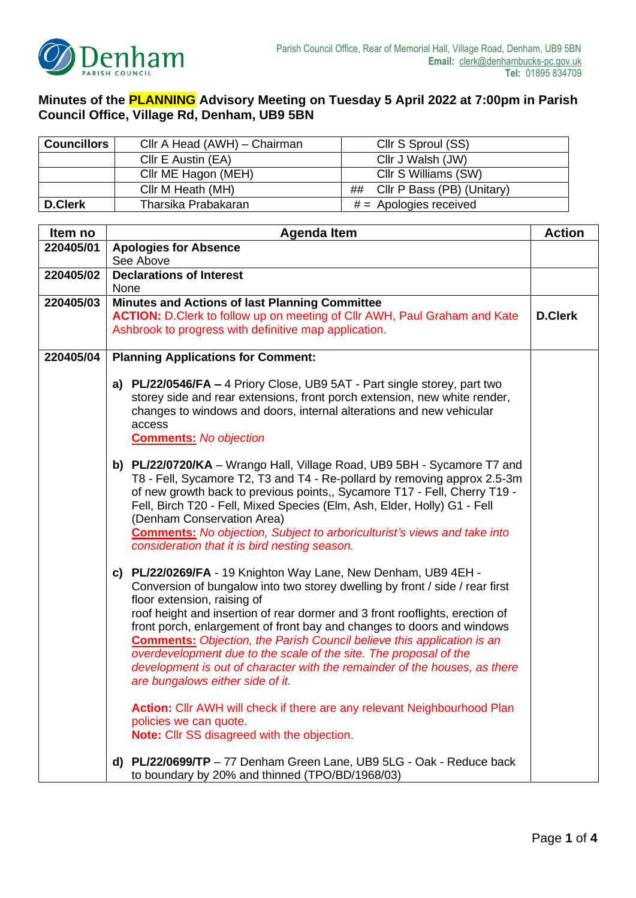

## **Minutes of the PLANNING Advisory Meeting on Tuesday 5 April 2022 at 7:00pm in Parish Council Office, Village Rd, Denham, UB9 5BN**

| <b>Councillors</b> | Cllr A Head (AWH) – Chairman | Cllr S Sproul (SS)            |
|--------------------|------------------------------|-------------------------------|
|                    | Cllr E Austin (EA)           | Cllr J Walsh (JW)             |
|                    | Cllr ME Hagon (MEH)          | Cllr S Williams (SW)          |
|                    | Cllr M Heath (MH)            | ## Cllr P Bass (PB) (Unitary) |
| <b>D.Clerk</b>     | Tharsika Prabakaran          | $#$ = Apologies received      |

| Item no   | <b>Agenda Item</b>                                                                                                                                                                                                                                                                                                                                                                                                                                                                                                                                                                                                                                                                                                           | <b>Action</b> |
|-----------|------------------------------------------------------------------------------------------------------------------------------------------------------------------------------------------------------------------------------------------------------------------------------------------------------------------------------------------------------------------------------------------------------------------------------------------------------------------------------------------------------------------------------------------------------------------------------------------------------------------------------------------------------------------------------------------------------------------------------|---------------|
| 220405/01 | <b>Apologies for Absence</b>                                                                                                                                                                                                                                                                                                                                                                                                                                                                                                                                                                                                                                                                                                 |               |
|           | See Above                                                                                                                                                                                                                                                                                                                                                                                                                                                                                                                                                                                                                                                                                                                    |               |
| 220405/02 | <b>Declarations of Interest</b>                                                                                                                                                                                                                                                                                                                                                                                                                                                                                                                                                                                                                                                                                              |               |
|           | None                                                                                                                                                                                                                                                                                                                                                                                                                                                                                                                                                                                                                                                                                                                         |               |
| 220405/03 | <b>Minutes and Actions of last Planning Committee</b>                                                                                                                                                                                                                                                                                                                                                                                                                                                                                                                                                                                                                                                                        |               |
|           | ACTION: D.Clerk to follow up on meeting of Cllr AWH, Paul Graham and Kate<br>Ashbrook to progress with definitive map application.                                                                                                                                                                                                                                                                                                                                                                                                                                                                                                                                                                                           |               |
| 220405/04 | <b>Planning Applications for Comment:</b>                                                                                                                                                                                                                                                                                                                                                                                                                                                                                                                                                                                                                                                                                    |               |
|           | a) $PL/22/0546/FA - 4$ Priory Close, UB9 5AT - Part single storey, part two<br>storey side and rear extensions, front porch extension, new white render,<br>changes to windows and doors, internal alterations and new vehicular<br>access<br><b>Comments:</b> No objection                                                                                                                                                                                                                                                                                                                                                                                                                                                  |               |
|           | b) PL/22/0720/KA - Wrango Hall, Village Road, UB9 5BH - Sycamore T7 and<br>T8 - Fell, Sycamore T2, T3 and T4 - Re-pollard by removing approx 2.5-3m<br>of new growth back to previous points,, Sycamore T17 - Fell, Cherry T19 -<br>Fell, Birch T20 - Fell, Mixed Species (Elm, Ash, Elder, Holly) G1 - Fell<br>(Denham Conservation Area)<br><b>Comments:</b> No objection, Subject to arboriculturist's views and take into<br>consideration that it is bird nesting season.                                                                                                                                                                                                                                               |               |
|           | c) PL/22/0269/FA - 19 Knighton Way Lane, New Denham, UB9 4EH -<br>Conversion of bungalow into two storey dwelling by front / side / rear first<br>floor extension, raising of<br>roof height and insertion of rear dormer and 3 front rooflights, erection of<br>front porch, enlargement of front bay and changes to doors and windows<br><b>Comments:</b> Objection, the Parish Council believe this application is an<br>overdevelopment due to the scale of the site. The proposal of the<br>development is out of character with the remainder of the houses, as there<br>are bungalows either side of it.<br><b>Action:</b> Cllr AWH will check if there are any relevant Neighbourhood Plan<br>policies we can quote. |               |
|           | <b>Note:</b> Cllr SS disagreed with the objection.<br>d) PL/22/0699/TP - 77 Denham Green Lane, UB9 5LG - Oak - Reduce back<br>to boundary by 20% and thinned (TPO/BD/1968/03)                                                                                                                                                                                                                                                                                                                                                                                                                                                                                                                                                |               |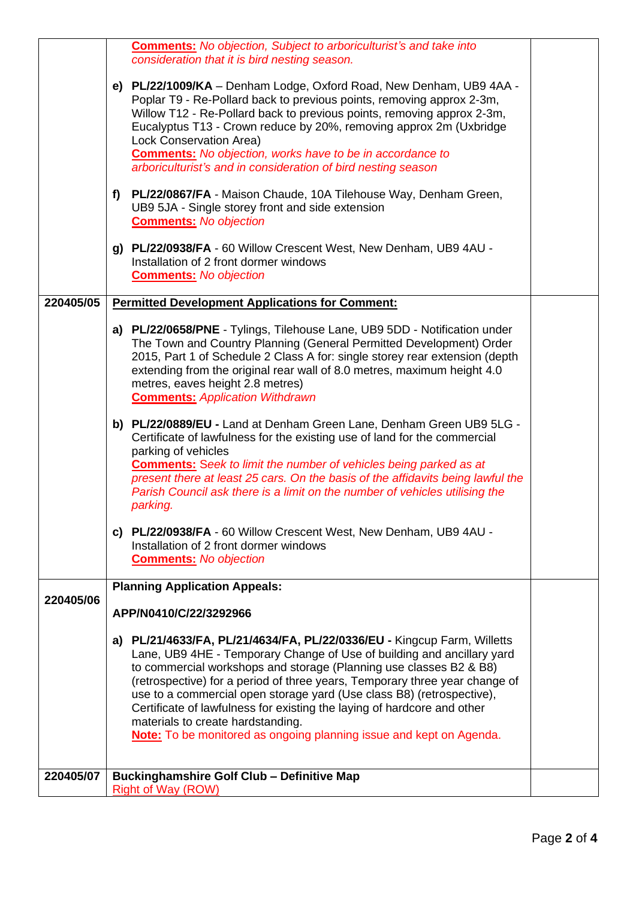|           | <b>Comments:</b> No objection, Subject to arboriculturist's and take into                                                                                                                                                                                                                                                                                                                                                                                                                                                                                                                                                      |  |
|-----------|--------------------------------------------------------------------------------------------------------------------------------------------------------------------------------------------------------------------------------------------------------------------------------------------------------------------------------------------------------------------------------------------------------------------------------------------------------------------------------------------------------------------------------------------------------------------------------------------------------------------------------|--|
|           | consideration that it is bird nesting season.                                                                                                                                                                                                                                                                                                                                                                                                                                                                                                                                                                                  |  |
|           | e) PL/22/1009/KA - Denham Lodge, Oxford Road, New Denham, UB9 4AA -<br>Poplar T9 - Re-Pollard back to previous points, removing approx 2-3m,<br>Willow T12 - Re-Pollard back to previous points, removing approx 2-3m,<br>Eucalyptus T13 - Crown reduce by 20%, removing approx 2m (Uxbridge<br>Lock Conservation Area)<br><b>Comments:</b> No objection, works have to be in accordance to<br>arboriculturist's and in consideration of bird nesting season                                                                                                                                                                   |  |
|           | PL/22/0867/FA - Maison Chaude, 10A Tilehouse Way, Denham Green,<br>f)<br>UB9 5JA - Single storey front and side extension<br><b>Comments:</b> No objection                                                                                                                                                                                                                                                                                                                                                                                                                                                                     |  |
|           | g) PL/22/0938/FA - 60 Willow Crescent West, New Denham, UB9 4AU -<br>Installation of 2 front dormer windows<br><b>Comments:</b> No objection                                                                                                                                                                                                                                                                                                                                                                                                                                                                                   |  |
| 220405/05 | <b>Permitted Development Applications for Comment:</b>                                                                                                                                                                                                                                                                                                                                                                                                                                                                                                                                                                         |  |
|           | a) PL/22/0658/PNE - Tylings, Tilehouse Lane, UB9 5DD - Notification under<br>The Town and Country Planning (General Permitted Development) Order<br>2015, Part 1 of Schedule 2 Class A for: single storey rear extension (depth<br>extending from the original rear wall of 8.0 metres, maximum height 4.0<br>metres, eaves height 2.8 metres)<br><b>Comments: Application Withdrawn</b>                                                                                                                                                                                                                                       |  |
|           | b) PL/22/0889/EU - Land at Denham Green Lane, Denham Green UB9 5LG -<br>Certificate of lawfulness for the existing use of land for the commercial<br>parking of vehicles<br><b>Comments:</b> Seek to limit the number of vehicles being parked as at<br>present there at least 25 cars. On the basis of the affidavits being lawful the<br>Parish Council ask there is a limit on the number of vehicles utilising the<br>parking.                                                                                                                                                                                             |  |
|           | c) PL/22/0938/FA - 60 Willow Crescent West, New Denham, UB9 4AU -<br>Installation of 2 front dormer windows<br><b>Comments:</b> No objection                                                                                                                                                                                                                                                                                                                                                                                                                                                                                   |  |
|           | <b>Planning Application Appeals:</b>                                                                                                                                                                                                                                                                                                                                                                                                                                                                                                                                                                                           |  |
| 220405/06 |                                                                                                                                                                                                                                                                                                                                                                                                                                                                                                                                                                                                                                |  |
|           | APP/N0410/C/22/3292966                                                                                                                                                                                                                                                                                                                                                                                                                                                                                                                                                                                                         |  |
| 220405/07 | PL/21/4633/FA, PL/21/4634/FA, PL/22/0336/EU - Kingcup Farm, Willetts<br>a)<br>Lane, UB9 4HE - Temporary Change of Use of building and ancillary yard<br>to commercial workshops and storage (Planning use classes B2 & B8)<br>(retrospective) for a period of three years, Temporary three year change of<br>use to a commercial open storage yard (Use class B8) (retrospective),<br>Certificate of lawfulness for existing the laying of hardcore and other<br>materials to create hardstanding.<br>Note: To be monitored as ongoing planning issue and kept on Agenda.<br><b>Buckinghamshire Golf Club - Definitive Map</b> |  |
|           | <b>Right of Way (ROW)</b>                                                                                                                                                                                                                                                                                                                                                                                                                                                                                                                                                                                                      |  |
|           |                                                                                                                                                                                                                                                                                                                                                                                                                                                                                                                                                                                                                                |  |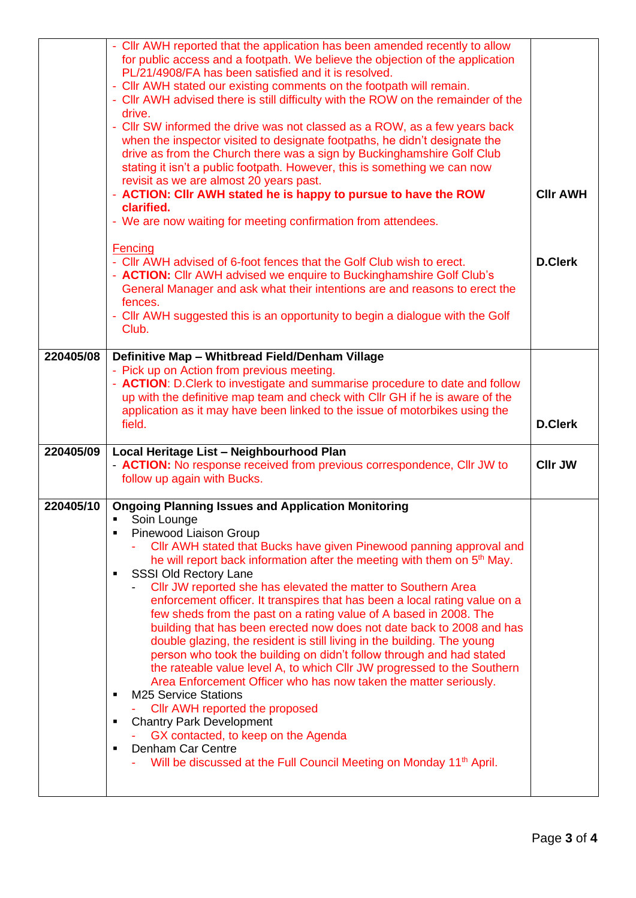|           | - Cllr AWH reported that the application has been amended recently to allow<br>for public access and a footpath. We believe the objection of the application<br>PL/21/4908/FA has been satisfied and it is resolved.                                                                                                                                                                                                          |                 |
|-----------|-------------------------------------------------------------------------------------------------------------------------------------------------------------------------------------------------------------------------------------------------------------------------------------------------------------------------------------------------------------------------------------------------------------------------------|-----------------|
|           | - Cllr AWH stated our existing comments on the footpath will remain.<br>- CIIr AWH advised there is still difficulty with the ROW on the remainder of the<br>drive.                                                                                                                                                                                                                                                           |                 |
|           | - Cllr SW informed the drive was not classed as a ROW, as a few years back<br>when the inspector visited to designate footpaths, he didn't designate the<br>drive as from the Church there was a sign by Buckinghamshire Golf Club<br>stating it isn't a public footpath. However, this is something we can now<br>revisit as we are almost 20 years past.<br>- ACTION: CIIr AWH stated he is happy to pursue to have the ROW | <b>CIIr AWH</b> |
|           | clarified.<br>- We are now waiting for meeting confirmation from attendees.                                                                                                                                                                                                                                                                                                                                                   |                 |
|           | Fencing<br>- Cllr AWH advised of 6-foot fences that the Golf Club wish to erect.<br>- <b>ACTION:</b> Cllr AWH advised we enquire to Buckinghamshire Golf Club's<br>General Manager and ask what their intentions are and reasons to erect the<br>fences.<br>- Cllr AWH suggested this is an opportunity to begin a dialogue with the Golf<br>Club.                                                                            | <b>D.Clerk</b>  |
| 220405/08 | Definitive Map - Whitbread Field/Denham Village<br>- Pick up on Action from previous meeting.<br>- ACTION: D. Clerk to investigate and summarise procedure to date and follow<br>up with the definitive map team and check with CIIr GH if he is aware of the<br>application as it may have been linked to the issue of motorbikes using the<br>field.                                                                        | <b>D.Clerk</b>  |
| 220405/09 | Local Heritage List - Neighbourhood Plan<br>- <b>ACTION:</b> No response received from previous correspondence, Cllr JW to                                                                                                                                                                                                                                                                                                    |                 |
|           | follow up again with Bucks.                                                                                                                                                                                                                                                                                                                                                                                                   | <b>CIIr JW</b>  |